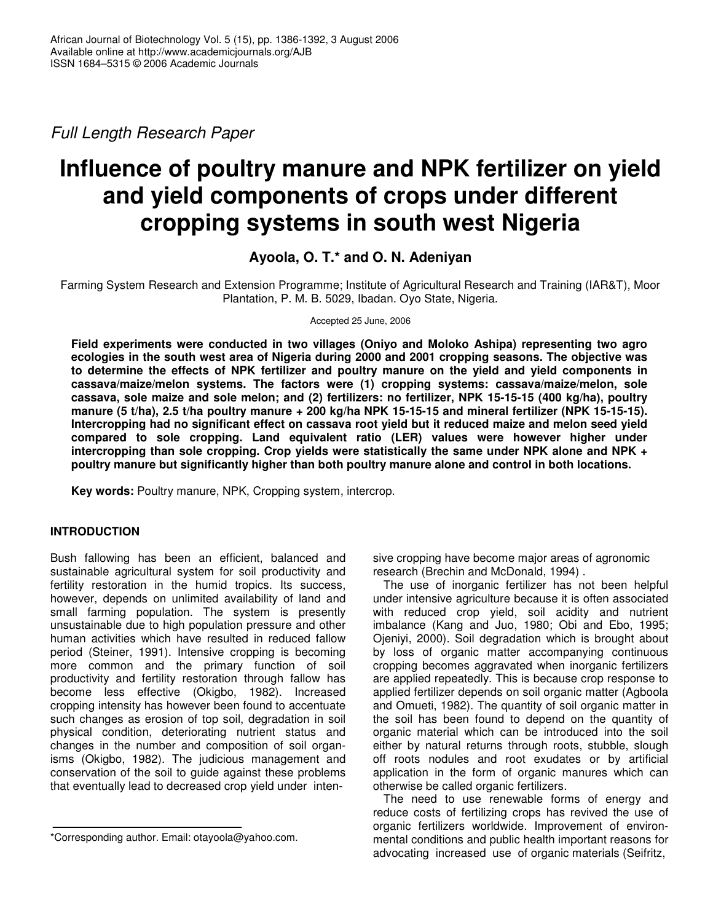*Full Length Research Paper*

# **Influence of poultry manure and NPK fertilizer on yield and yield components of crops under different cropping systems in south west Nigeria**

## **Ayoola, O. T.\* and O. N. Adeniyan**

Farming System Research and Extension Programme; Institute of Agricultural Research and Training (IAR&T), Moor Plantation, P. M. B. 5029, Ibadan. Oyo State, Nigeria.

Accepted 25 June, 2006

**Field experiments were conducted in two villages (Oniyo and Moloko Ashipa) representing two agro ecologies in the south west area of Nigeria during 2000 and 2001 cropping seasons. The objective was to determine the effects of NPK fertilizer and poultry manure on the yield and yield components in cassava/maize/melon systems. The factors were (1) cropping systems: cassava/maize/melon, sole cassava, sole maize and sole melon; and (2) fertilizers: no fertilizer, NPK 15-15-15 (400 kg/ha), poultry manure (5 t/ha), 2.5 t/ha poultry manure + 200 kg/ha NPK 15-15-15 and mineral fertilizer (NPK 15-15-15). Intercropping had no significant effect on cassava root yield but it reduced maize and melon seed yield compared to sole cropping. Land equivalent ratio (LER) values were however higher under intercropping than sole cropping. Crop yields were statistically the same under NPK alone and NPK + poultry manure but significantly higher than both poultry manure alone and control in both locations.**

**Key words:** Poultry manure, NPK, Cropping system, intercrop.

## **INTRODUCTION**

Bush fallowing has been an efficient, balanced and sustainable agricultural system for soil productivity and fertility restoration in the humid tropics. Its success, however, depends on unlimited availability of land and small farming population. The system is presently unsustainable due to high population pressure and other human activities which have resulted in reduced fallow period (Steiner, 1991). Intensive cropping is becoming more common and the primary function of soil productivity and fertility restoration through fallow has become less effective (Okigbo, 1982). Increased cropping intensity has however been found to accentuate such changes as erosion of top soil, degradation in soil physical condition, deteriorating nutrient status and changes in the number and composition of soil organisms (Okigbo, 1982). The judicious management and conservation of the soil to guide against these problems that eventually lead to decreased crop yield under intensive cropping have become major areas of agronomic research (Brechin and McDonald, 1994) .

The use of inorganic fertilizer has not been helpful under intensive agriculture because it is often associated with reduced crop yield, soil acidity and nutrient imbalance (Kang and Juo, 1980; Obi and Ebo, 1995; Ojeniyi, 2000). Soil degradation which is brought about by loss of organic matter accompanying continuous cropping becomes aggravated when inorganic fertilizers are applied repeatedly. This is because crop response to applied fertilizer depends on soil organic matter (Agboola and Omueti, 1982). The quantity of soil organic matter in the soil has been found to depend on the quantity of organic material which can be introduced into the soil either by natural returns through roots, stubble, slough off roots nodules and root exudates or by artificial application in the form of organic manures which can otherwise be called organic fertilizers.

The need to use renewable forms of energy and reduce costs of fertilizing crops has revived the use of organic fertilizers worldwide. Improvement of environmental conditions and public health important reasons for advocating increased use of organic materials (Seifritz,

<sup>\*</sup>Corresponding author. Email: otayoola@yahoo.com.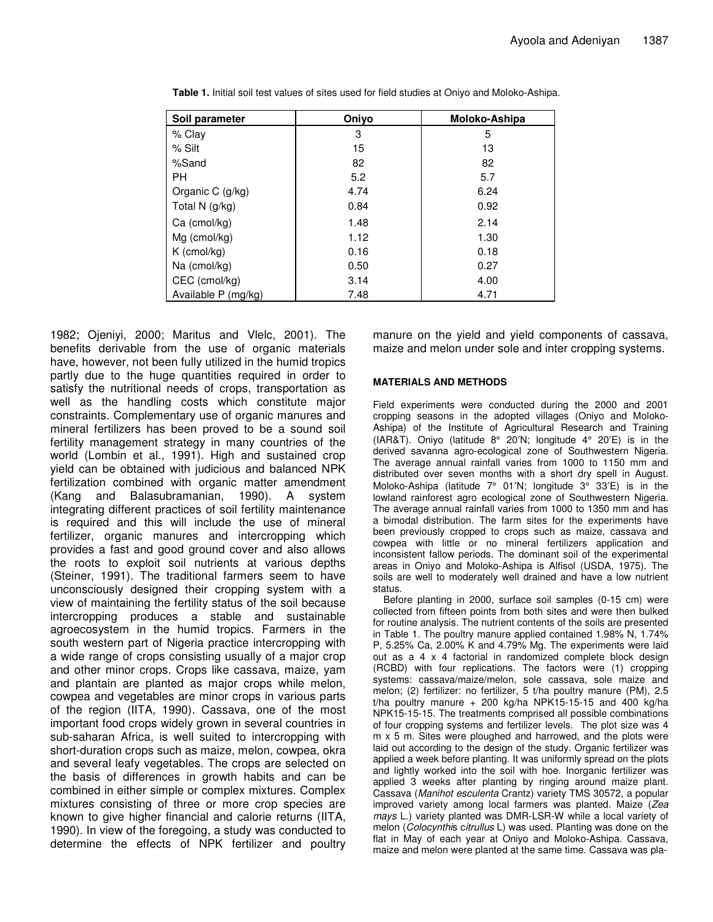| Soil parameter      | Onivo | Moloko-Ashipa |
|---------------------|-------|---------------|
| % Clay              | 3     | 5             |
| $%$ Silt            | 15    | 13            |
| %Sand               | 82    | 82            |
| PH                  | 5.2   | 5.7           |
| Organic C (g/kg)    | 4.74  | 6.24          |
| Total N (g/kg)      | 0.84  | 0.92          |
| Ca (cmol/kg)        | 1.48  | 2.14          |
| Mg (cmol/kg)        | 1.12  | 1.30          |
| $K$ (cmol/kg)       | 0.16  | 0.18          |
| Na (cmol/kg)        | 0.50  | 0.27          |
| CEC (cmol/kg)       | 3.14  | 4.00          |
| Available P (mg/kg) | 7.48  | 4.71          |

**Table 1.** Initial soil test values of sites used for field studies at Oniyo and Moloko-Ashipa.

1982; Ojeniyi, 2000; Maritus and Vlelc, 2001). The benefits derivable from the use of organic materials have, however, not been fully utilized in the humid tropics partly due to the huge quantities required in order to satisfy the nutritional needs of crops, transportation as well as the handling costs which constitute major constraints. Complementary use of organic manures and mineral fertilizers has been proved to be a sound soil fertility management strategy in many countries of the world (Lombin et al., 1991). High and sustained crop yield can be obtained with judicious and balanced NPK fertilization combined with organic matter amendment (Kang and Balasubramanian, 1990). A system integrating different practices of soil fertility maintenance is required and this will include the use of mineral fertilizer, organic manures and intercropping which provides a fast and good ground cover and also allows the roots to exploit soil nutrients at various depths (Steiner, 1991). The traditional farmers seem to have unconsciously designed their cropping system with a view of maintaining the fertility status of the soil because intercropping produces a stable and sustainable agroecosystem in the humid tropics. Farmers in the south western part of Nigeria practice intercropping with a wide range of crops consisting usually of a major crop and other minor crops. Crops like cassava, maize, yam and plantain are planted as major crops while melon, cowpea and vegetables are minor crops in various parts of the region (IITA, 1990). Cassava, one of the most important food crops widely grown in several countries in sub-saharan Africa, is well suited to intercropping with short-duration crops such as maize, melon, cowpea, okra and several leafy vegetables. The crops are selected on the basis of differences in growth habits and can be combined in either simple or complex mixtures. Complex mixtures consisting of three or more crop species are known to give higher financial and calorie returns (IITA, 1990). In view of the foregoing, a study was conducted to determine the effects of NPK fertilizer and poultry manure on the yield and yield components of cassava, maize and melon under sole and inter cropping systems.

#### **MATERIALS AND METHODS**

Field experiments were conducted during the 2000 and 2001 cropping seasons in the adopted villages (Oniyo and Moloko-Ashipa) of the Institute of Agricultural Research and Training (IAR&T). Oniyo (latitude 8° 20′N; longitude 4° 20′E) is in the derived savanna agro-ecological zone of Southwestern Nigeria. The average annual rainfall varies from 1000 to 1150 mm and distributed over seven months with a short dry spell in August. Moloko-Ashipa (latitude 7° 01′N; longitude 3° 33′E) is in the lowland rainforest agro ecological zone of Southwestern Nigeria. The average annual rainfall varies from 1000 to 1350 mm and has a bimodal distribution. The farm sites for the experiments have been previously cropped to crops such as maize, cassava and cowpea with little or no mineral fertilizers application and inconsistent fallow periods. The dominant soil of the experimental areas in Oniyo and Moloko-Ashipa is Alfisol (USDA, 1975). The soils are well to moderately well drained and have a low nutrient status.

Before planting in 2000, surface soil samples (0-15 cm) were collected from fifteen points from both sites and were then bulked for routine analysis. The nutrient contents of the soils are presented in Table 1. The poultry manure applied contained 1.98% N, 1.74% P, 5.25% Ca, 2.00% K and 4.79% Mg. The experiments were laid out as a 4 x 4 factorial in randomized complete block design (RCBD) with four replications. The factors were (1) cropping systems: cassava/maize/melon, sole cassava, sole maize and melon; (2) fertilizer: no fertilizer, 5 t/ha poultry manure (PM), 2.5 t/ha poultry manure + 200 kg/ha NPK15-15-15 and 400 kg/ha NPK15-15-15. The treatments comprised all possible combinations of four cropping systems and fertilizer levels. The plot size was 4 m x 5 m. Sites were ploughed and harrowed, and the plots were laid out according to the design of the study. Organic fertilizer was applied a week before planting. It was uniformly spread on the plots and lightly worked into the soil with hoe. Inorganic fertilizer was applied 3 weeks after planting by ringing around maize plant. Cassava (*Manihot esculenta* Crantz) variety TMS 30572, a popular improved variety among local farmers was planted. Maize (*Zea mays* L.) variety planted was DMR-LSR-W while a local variety of melon (*Colocynthi*s c*itrullus* L) was used. Planting was done on the flat in May of each year at Oniyo and Moloko-Ashipa. Cassava, maize and melon were planted at the same time. Cassava was pla-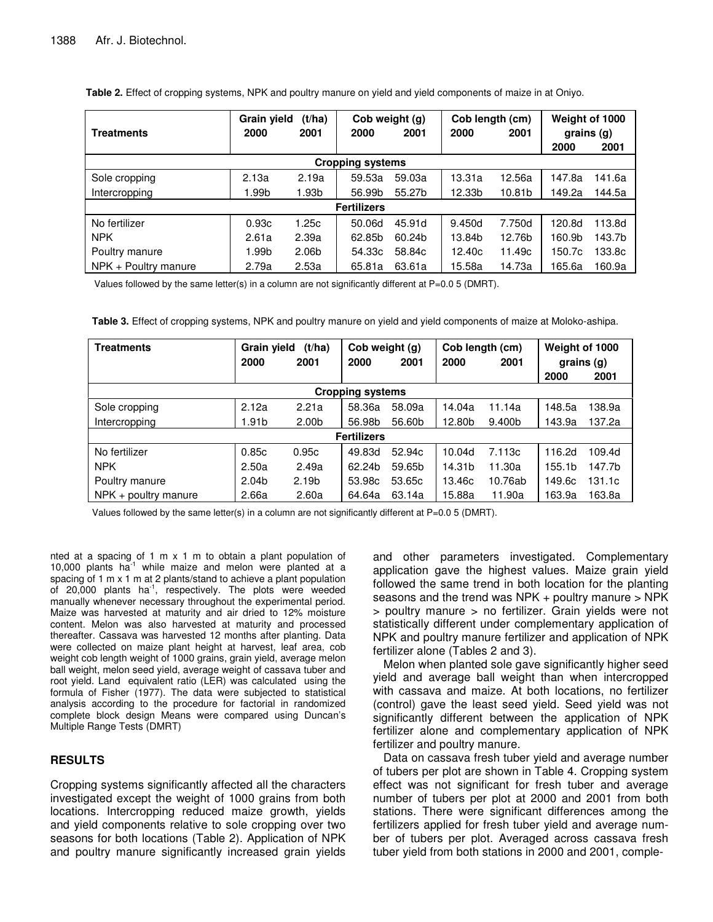| Table 2. Effect of cropping systems, NPK and poultry manure on yield and yield components of maize in at Oniyo. |  |  |  |
|-----------------------------------------------------------------------------------------------------------------|--|--|--|
|-----------------------------------------------------------------------------------------------------------------|--|--|--|

| <b>Treatments</b>       | (t/ha)<br>Grain yield<br>2000<br>2001 |       | Cob weight (g)<br>2000<br>2001 |        | Cob length (cm)<br>2000<br>2001 |        | Weight of 1000<br>grains $(g)$ |        |  |  |
|-------------------------|---------------------------------------|-------|--------------------------------|--------|---------------------------------|--------|--------------------------------|--------|--|--|
|                         |                                       |       |                                |        |                                 |        | 2000                           | 2001   |  |  |
| <b>Cropping systems</b> |                                       |       |                                |        |                                 |        |                                |        |  |  |
| Sole cropping           | 2.13a                                 | 2.19a | 59.53a                         | 59.03a | 13.31a                          | 12.56a | 147.8a                         | 141.6a |  |  |
| Intercropping           | 1.99b                                 | 1.93b | 56.99b                         | 55.27b | 12.33b                          | 10.81b | 149.2a                         | 144.5a |  |  |
| <b>Fertilizers</b>      |                                       |       |                                |        |                                 |        |                                |        |  |  |
| No fertilizer           | 0.93c                                 | 1.25c | 50.06d                         | 45.91d | 9.450d                          | 7.750d | 120.8d                         | 113.8d |  |  |
| <b>NPK</b>              | 2.61a                                 | 2.39a | 62.85b                         | 60.24b | 13.84b                          | 12.76b | 160.9b                         | 143.7b |  |  |
| Poultry manure          | 1.99b                                 | 2.06b | 54.33c                         | 58.84c | 12.40 <sub>c</sub>              | 11.49c | 150.7c                         | 133.8c |  |  |
| $NPK +$ Poultry manure  | 2.79a                                 | 2.53a | 65.81a                         | 63.61a | 15.58a                          | 14.73a | 165.6a                         | 160.9a |  |  |

Values followed by the same letter(s) in a column are not significantly different at P=0.0 5 (DMRT).

|  | Table 3. Effect of cropping systems, NPK and poultry manure on yield and yield components of maize at Moloko-ashipa. |  |  |  |  |
|--|----------------------------------------------------------------------------------------------------------------------|--|--|--|--|
|  |                                                                                                                      |  |  |  |  |

| <b>Treatments</b>       | (t/ha)<br>Grain yield |                   | Cob weight (g) |        | Cob length (cm) |         | Weight of 1000 |           |  |
|-------------------------|-----------------------|-------------------|----------------|--------|-----------------|---------|----------------|-----------|--|
|                         | 2000                  | 2001              | 2000           | 2001   | 2000            | 2001    |                | grains(g) |  |
|                         |                       |                   |                |        |                 |         | 2000           | 2001      |  |
| <b>Cropping systems</b> |                       |                   |                |        |                 |         |                |           |  |
| Sole cropping           | 2.12a                 | 2.21a             | 58.36a         | 58.09a | 14.04a          | 11.14a  | 148.5a         | 138.9a    |  |
| Intercropping           | 1.91 <sub>b</sub>     | 2.00 <sub>b</sub> | 56.98b         | 56.60b | 12.80b          | 9.400b  | 143.9a         | 137.2a    |  |
| <b>Fertilizers</b>      |                       |                   |                |        |                 |         |                |           |  |
| No fertilizer           | 0.85c                 | 0.95c             | 49.83d         | 52.94c | 10.04d          | 7.113c  | 116.2d         | 109.4d    |  |
| <b>NPK</b>              | 2.50a                 | 2.49a             | 62.24b         | 59.65b | 14.31b          | 11.30a  | 155.1b         | 147.7b    |  |
| Poultry manure          | 2.04b                 | 2.19 <sub>b</sub> | 53.98c         | 53.65c | 13.46c          | 10.76ab | 149.6c         | 131.1c    |  |
| $NPK +$ poultry manure  | 2.66a                 | 2.60a             | 64.64a         | 63.14a | 15.88a          | 11.90a  | 163.9a         | 163.8a    |  |

Values followed by the same letter(s) in a column are not significantly different at P=0.0 5 (DMRT).

nted at a spacing of 1 m  $x$  1 m to obtain a plant population of 10,000 plants  $ha^{-1}$  while maize and melon were planted at a spacing of 1 m x 1 m at 2 plants/stand to achieve a plant population of 20,000 plants ha<sup>-1</sup>, respectively. The plots were weeded manually whenever necessary throughout the experimental period. Maize was harvested at maturity and air dried to 12% moisture content. Melon was also harvested at maturity and processed thereafter. Cassava was harvested 12 months after planting. Data were collected on maize plant height at harvest, leaf area, cob weight cob length weight of 1000 grains, grain yield, average melon ball weight, melon seed yield, average weight of cassava tuber and root yield. Land equivalent ratio (LER) was calculated using the formula of Fisher (1977). The data were subjected to statistical analysis according to the procedure for factorial in randomized complete block design Means were compared using Duncan's Multiple Range Tests (DMRT)

### **RESULTS**

Cropping systems significantly affected all the characters investigated except the weight of 1000 grains from both locations. Intercropping reduced maize growth, yields and yield components relative to sole cropping over two seasons for both locations (Table 2). Application of NPK and poultry manure significantly increased grain yields and other parameters investigated. Complementary application gave the highest values. Maize grain yield followed the same trend in both location for the planting seasons and the trend was  $NPK +$  poultry manure  $>$  NPK > poultry manure > no fertilizer. Grain yields were not statistically different under complementary application of NPK and poultry manure fertilizer and application of NPK fertilizer alone (Tables 2 and 3).

Melon when planted sole gave significantly higher seed yield and average ball weight than when intercropped with cassava and maize. At both locations, no fertilizer (control) gave the least seed yield. Seed yield was not significantly different between the application of NPK fertilizer alone and complementary application of NPK fertilizer and poultry manure.

Data on cassava fresh tuber yield and average number of tubers per plot are shown in Table 4. Cropping system effect was not significant for fresh tuber and average number of tubers per plot at 2000 and 2001 from both stations. There were significant differences among the fertilizers applied for fresh tuber yield and average number of tubers per plot. Averaged across cassava fresh tuber yield from both stations in 2000 and 2001, comple-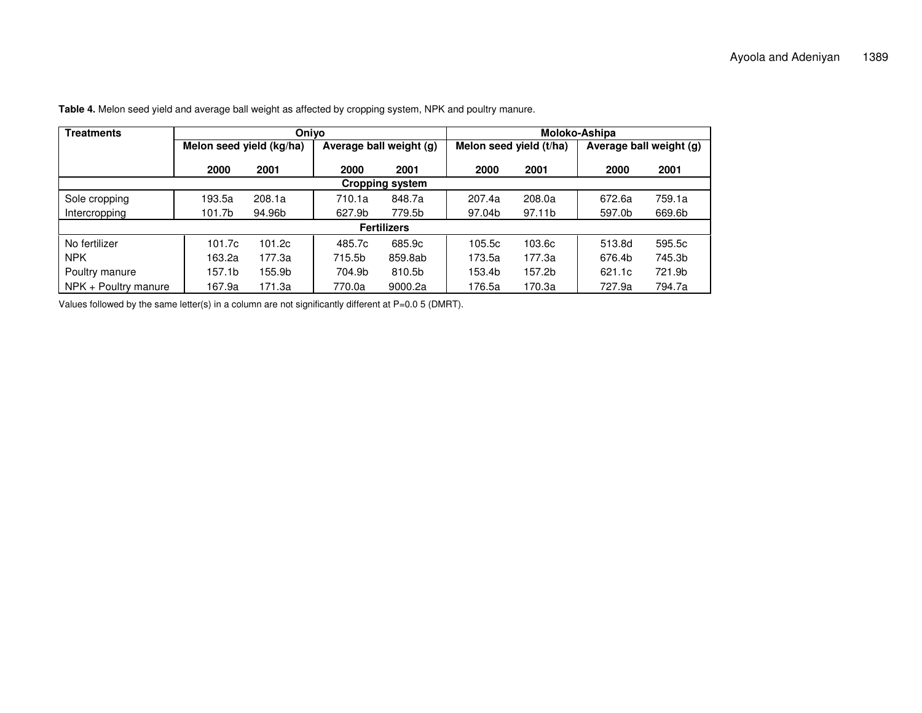| <b>Treatments</b>    | Oniyo                    |        |        |                         |        | Moloko-Ashipa           |                         |        |  |  |
|----------------------|--------------------------|--------|--------|-------------------------|--------|-------------------------|-------------------------|--------|--|--|
|                      | Melon seed yield (kg/ha) |        |        | Average ball weight (g) |        | Melon seed yield (t/ha) | Average ball weight (g) |        |  |  |
|                      |                          |        |        |                         |        |                         |                         |        |  |  |
|                      | 2000                     | 2001   | 2000   | 2001                    | 2000   | 2001                    | 2000                    | 2001   |  |  |
|                      |                          |        |        | <b>Cropping system</b>  |        |                         |                         |        |  |  |
| Sole cropping        | 193.5a                   | 208.1a | 710.1a | 848.7a                  | 207.4a | 208.0a                  | 672.6a                  | 759.1a |  |  |
| Intercropping        | 101.7b                   | 94.96b | 627.9b | 779.5b                  | 97.04b | 97.11b                  | 597.0b                  | 669.6b |  |  |
| <b>Fertilizers</b>   |                          |        |        |                         |        |                         |                         |        |  |  |
| No fertilizer        | 101.7c                   | 101.2c | 485.7c | 685.9c                  | 105.5c | 103.6c                  | 513.8d                  | 595.5c |  |  |
| <b>NPK</b>           | 163.2a                   | 177.3a | 715.5b | 859.8ab                 | 173.5a | 177.3a                  | 676.4b                  | 745.3b |  |  |
| Poultry manure       | 157.1b                   | 155.9b | 704.9b | 810.5b                  | 153.4b | 157.2b                  | 621.1c                  | 721.9b |  |  |
| NPK + Poultry manure | 167.9a                   | 171.3a | 770.0a | 9000.2a                 | 176.5a | 170.3a                  | 727.9a                  | 794.7a |  |  |

**Table 4.** Melon seed yield and average ball weight as affected by cropping system, NPK and poultry manure.

Values followed by the same letter(s) in <sup>a</sup> column are not significantly different at P=0.0 5 (DMRT).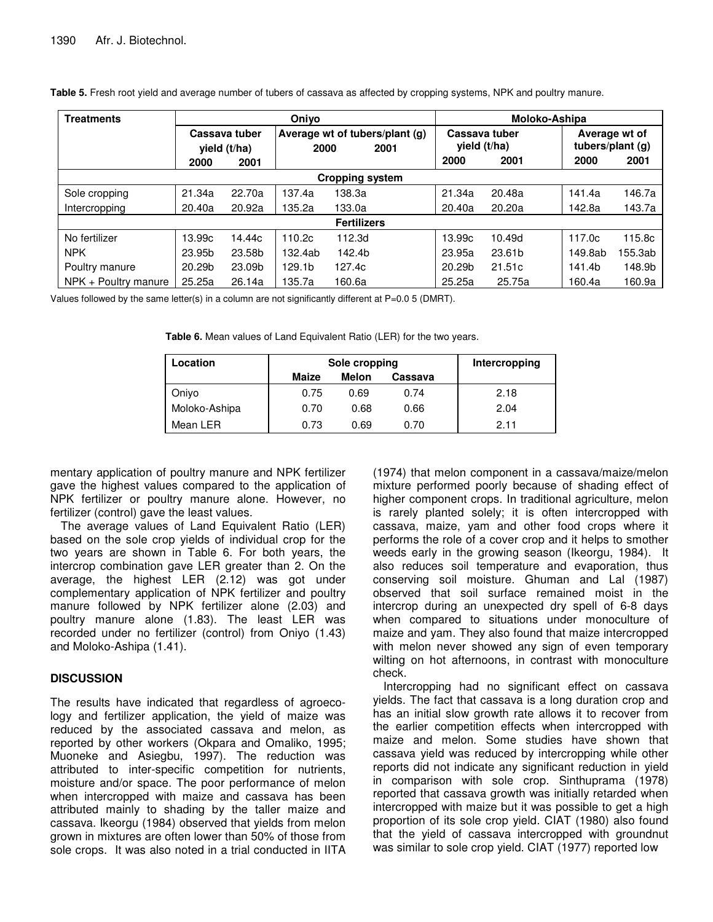| <b>Treatments</b>    | Oniyo                         |        |                                                |                    |                               | Moloko-Ashipa |                                   |         |        |  |
|----------------------|-------------------------------|--------|------------------------------------------------|--------------------|-------------------------------|---------------|-----------------------------------|---------|--------|--|
|                      | Cassava tuber<br>yield (t/ha) |        | Average wt of tubers/plant (g)<br>2000<br>2001 |                    | Cassava tuber<br>yield (t/ha) |               | Average wt of<br>tubers/plant (g) |         |        |  |
|                      | 2000                          | 2001   |                                                |                    |                               | 2000          | 2001                              | 2000    | 2001   |  |
|                      | <b>Cropping system</b>        |        |                                                |                    |                               |               |                                   |         |        |  |
| Sole cropping        | 21.34a                        | 22.70a | 137.4a                                         | 138.3a             |                               | 21.34a        | 20.48a                            | 141.4a  | 146.7a |  |
| Intercropping        | 20.40a                        | 20.92a | 135.2a                                         | 133.0a             |                               | 20.40a        | 20.20a                            | 142.8a  | 143.7a |  |
|                      |                               |        |                                                | <b>Fertilizers</b> |                               |               |                                   |         |        |  |
| No fertilizer        | 13.99c                        | 14.44c | 110.2c                                         | 112.3d             |                               | 13.99c        | 10.49d                            | 117.0c  | 115.8c |  |
| <b>NPK</b>           | 23.95b                        | 23.58b | 132.4ab                                        | 142.4b             |                               | 23.95a        | 23.61b                            | 149.8ab | 55.3ab |  |
| Poultry manure       | 20.29b                        | 23.09b | 129.1b                                         | 127.4c             |                               | 20.29b        | 21.51c                            | 141.4b  | 148.9b |  |
| NPK + Poultry manure | 25.25a                        | 26.14a | 135.7a                                         | 160.6a             |                               | 25.25a        | 25.75a                            | 160.4a  | 160.9a |  |

**Table 5.** Fresh root yield and average number of tubers of cassava as affected by cropping systems, NPK and poultry manure.

Values followed by the same letter(s) in a column are not significantly different at  $P=0.05$  (DMRT).

**Table 6.** Mean values of Land Equivalent Ratio (LER) for the two years.

| Location      |       | Sole cropping | Intercropping |      |
|---------------|-------|---------------|---------------|------|
|               | Maize | Melon         | Cassava       |      |
| Oniyo         | 0.75  | 0.69          | 0.74          | 2.18 |
| Moloko-Ashipa | 0.70  | 0.68          | 0.66          | 2.04 |
| Mean LER      | 0.73  | 0.69          | 0.70          | 2.11 |

mentary application of poultry manure and NPK fertilizer gave the highest values compared to the application of NPK fertilizer or poultry manure alone. However, no fertilizer (control) gave the least values.

The average values of Land Equivalent Ratio (LER) based on the sole crop yields of individual crop for the two years are shown in Table 6. For both years, the intercrop combination gave LER greater than 2. On the average, the highest LER (2.12) was got under complementary application of NPK fertilizer and poultry manure followed by NPK fertilizer alone (2.03) and poultry manure alone (1.83). The least LER was recorded under no fertilizer (control) from Oniyo (1.43) and Moloko-Ashipa (1.41).

## **DISCUSSION**

The results have indicated that regardless of agroecology and fertilizer application, the yield of maize was reduced by the associated cassava and melon, as reported by other workers (Okpara and Omaliko, 1995; Muoneke and Asiegbu, 1997). The reduction was attributed to inter-specific competition for nutrients, moisture and/or space. The poor performance of melon when intercropped with maize and cassava has been attributed mainly to shading by the taller maize and cassava. Ikeorgu (1984) observed that yields from melon grown in mixtures are often lower than 50% of those from sole crops. It was also noted in a trial conducted in IITA

(1974) that melon component in a cassava/maize/melon mixture performed poorly because of shading effect of higher component crops. In traditional agriculture, melon is rarely planted solely; it is often intercropped with cassava, maize, yam and other food crops where it performs the role of a cover crop and it helps to smother weeds early in the growing season (Ikeorgu, 1984). It also reduces soil temperature and evaporation, thus conserving soil moisture. Ghuman and Lal (1987) observed that soil surface remained moist in the intercrop during an unexpected dry spell of 6-8 days when compared to situations under monoculture of maize and yam. They also found that maize intercropped with melon never showed any sign of even temporary wilting on hot afternoons, in contrast with monoculture check.

Intercropping had no significant effect on cassava yields. The fact that cassava is a long duration crop and has an initial slow growth rate allows it to recover from the earlier competition effects when intercropped with maize and melon. Some studies have shown that cassava yield was reduced by intercropping while other reports did not indicate any significant reduction in yield in comparison with sole crop. Sinthuprama (1978) reported that cassava growth was initially retarded when intercropped with maize but it was possible to get a high proportion of its sole crop yield. CIAT (1980) also found that the yield of cassava intercropped with groundnut was similar to sole crop yield. CIAT (1977) reported low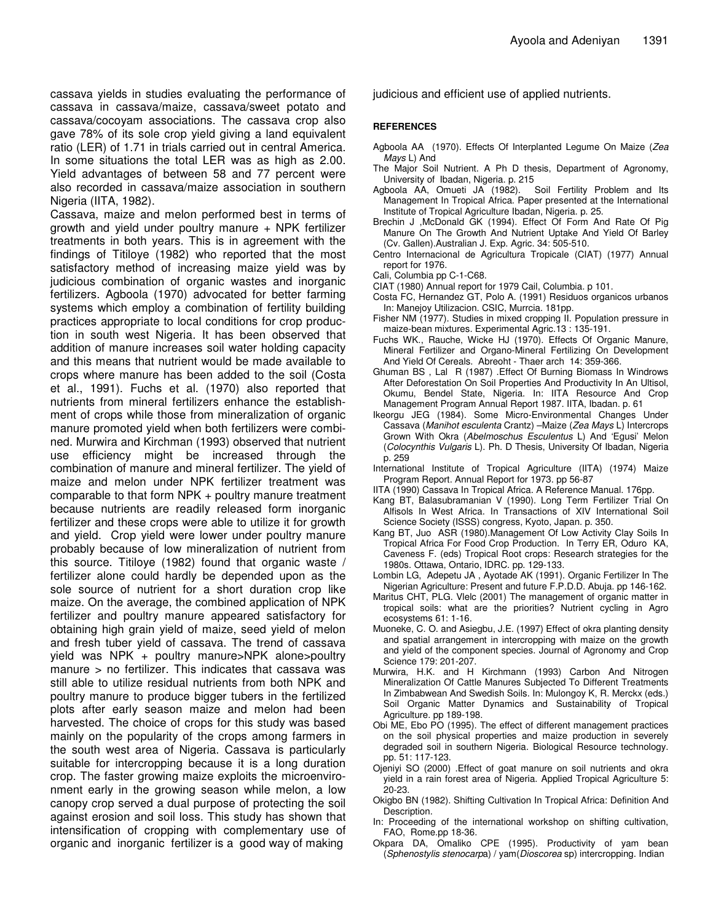cassava yields in studies evaluating the performance of cassava in cassava/maize, cassava/sweet potato and cassava/cocoyam associations. The cassava crop also gave 78% of its sole crop yield giving a land equivalent ratio (LER) of 1.71 in trials carried out in central America. In some situations the total LER was as high as 2.00. Yield advantages of between 58 and 77 percent were also recorded in cassava/maize association in southern Nigeria (IITA, 1982).

Cassava, maize and melon performed best in terms of growth and yield under poultry manure  $+$  NPK fertilizer treatments in both years. This is in agreement with the findings of Titiloye (1982) who reported that the most satisfactory method of increasing maize yield was by judicious combination of organic wastes and inorganic fertilizers. Agboola (1970) advocated for better farming systems which employ a combination of fertility building practices appropriate to local conditions for crop production in south west Nigeria. It has been observed that addition of manure increases soil water holding capacity and this means that nutrient would be made available to crops where manure has been added to the soil (Costa et al., 1991). Fuchs et al. (1970) also reported that nutrients from mineral fertilizers enhance the establishment of crops while those from mineralization of organic manure promoted yield when both fertilizers were combined. Murwira and Kirchman (1993) observed that nutrient use efficiency might be increased through the combination of manure and mineral fertilizer. The yield of maize and melon under NPK fertilizer treatment was comparable to that form NPK + poultry manure treatment because nutrients are readily released form inorganic fertilizer and these crops were able to utilize it for growth and yield. Crop yield were lower under poultry manure probably because of low mineralization of nutrient from this source. Titiloye (1982) found that organic waste / fertilizer alone could hardly be depended upon as the sole source of nutrient for a short duration crop like maize. On the average, the combined application of NPK fertilizer and poultry manure appeared satisfactory for obtaining high grain yield of maize, seed yield of melon and fresh tuber yield of cassava. The trend of cassava yield was NPK + poultry manure>NPK alone>poultry manure > no fertilizer. This indicates that cassava was still able to utilize residual nutrients from both NPK and poultry manure to produce bigger tubers in the fertilized plots after early season maize and melon had been harvested. The choice of crops for this study was based mainly on the popularity of the crops among farmers in the south west area of Nigeria. Cassava is particularly suitable for intercropping because it is a long duration crop. The faster growing maize exploits the microenvironment early in the growing season while melon, a low canopy crop served a dual purpose of protecting the soil against erosion and soil loss. This study has shown that intensification of cropping with complementary use of organic and inorganic fertilizer is a good way of making

judicious and efficient use of applied nutrients.

#### **REFERENCES**

- Agboola AA (1970). Effects Of Interplanted Legume On Maize (*Zea Mays* L) And
- The Major Soil Nutrient. A Ph D thesis, Department of Agronomy, University of Ibadan, Nigeria. p. 215
- Agboola AA, Omueti JA (1982). Soil Fertility Problem and Its Management In Tropical Africa. Paper presented at the International Institute of Tropical Agriculture Ibadan, Nigeria. p. 25.
- Brechin J ,McDonald GK (1994). Effect Of Form And Rate Of Pig Manure On The Growth And Nutrient Uptake And Yield Of Barley (Cv. Gallen).Australian J. Exp. Agric. 34: 505-510.
- Centro Internacional de Agricultura Tropicale (CIAT) (1977) Annual report for 1976.
- Cali, Columbia pp C-1-C68.
- CIAT (1980) Annual report for 1979 Cail, Columbia. p 101.
- Costa FC, Hernandez GT, Polo A. (1991) Residuos organicos urbanos In: Manejoy Utilizacion. CSIC, Murrcia. 181pp.
- Fisher NM (1977). Studies in mixed cropping II. Population pressure in maize-bean mixtures. Experimental Agric.13 : 135-191.
- Fuchs WK., Rauche, Wicke HJ (1970). Effects Of Organic Manure, Mineral Fertilizer and Organo-Mineral Fertilizing On Development And Yield Of Cereals. Abreoht - Thaer arch 14: 359-366.
- Ghuman BS , Lal R (1987) .Effect Of Burning Biomass In Windrows After Deforestation On Soil Properties And Productivity In An Ultisol, Okumu, Bendel State, Nigeria. In: IITA Resource And Crop Management Program Annual Report 1987. IITA, Ibadan. p. 61
- Ikeorgu JEG (1984). Some Micro-Environmental Changes Under Cassava (*Manihot esculenta* Crantz) –Maize (*Zea Mays* L) Intercrops Grown With Okra (*Abelmoschus Esculentus* L) And 'Egusi' Melon (*Colocynthis Vulgaris* L). Ph. D Thesis, University Of Ibadan, Nigeria p. 259
- International Institute of Tropical Agriculture (IITA) (1974) Maize Program Report. Annual Report for 1973. pp 56-87
- IITA (1990) Cassava In Tropical Africa. A Reference Manual. 176pp.
- Kang BT, Balasubramanian V (1990). Long Term Fertilizer Trial On Alfisols In West Africa. In Transactions of XIV International Soil Science Society (ISSS) congress, Kyoto, Japan. p. 350.
- Kang BT, Juo ASR (1980).Management Of Low Activity Clay Soils In Tropical Africa For Food Crop Production. In Terry ER, Oduro KA, Caveness F. (eds) Tropical Root crops: Research strategies for the 1980s. Ottawa, Ontario, IDRC. pp. 129-133.
- Lombin LG, Adepetu JA , Ayotade AK (1991). Organic Fertilizer In The Nigerian Agriculture: Present and future F.P.D.D. Abuja. pp 146-162.
- Maritus CHT, PLG. Vlelc (2001) The management of organic matter in tropical soils: what are the priorities? Nutrient cycling in Agro ecosystems 61: 1-16.
- Muoneke, C. O. and Asiegbu, J.E. (1997) Effect of okra planting density and spatial arrangement in intercropping with maize on the growth and yield of the component species. Journal of Agronomy and Crop Science 179: 201-207.
- Murwira, H.K. and H Kirchmann (1993) Carbon And Nitrogen Mineralization Of Cattle Manures Subjected To Different Treatments In Zimbabwean And Swedish Soils. In: Mulongoy K, R. Merckx (eds.) Soil Organic Matter Dynamics and Sustainability of Tropical Agriculture. pp 189-198.
- Obi ME, Ebo PO (1995). The effect of different management practices on the soil physical properties and maize production in severely degraded soil in southern Nigeria. Biological Resource technology. pp. 51: 117-123.
- Ojeniyi SO (2000) .Effect of goat manure on soil nutrients and okra yield in a rain forest area of Nigeria. Applied Tropical Agriculture 5: 20-23.
- Okigbo BN (1982). Shifting Cultivation In Tropical Africa: Definition And Description.
- In: Proceeding of the international workshop on shifting cultivation, FAO, Rome.pp 18-36.
- Okpara DA, Omaliko CPE (1995). Productivity of yam bean (*Sphenostylis stenocarp*a) / yam(*Dioscorea* sp) intercropping. Indian